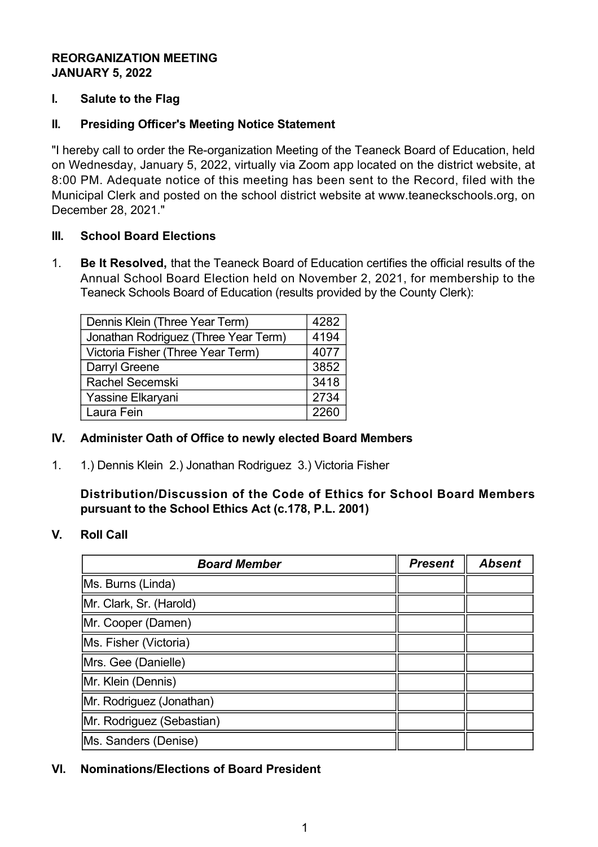# **REORGANIZATION MEETING JANUARY 5, 2022**

## **I. Salute to the Flag**

## **II. Presiding Officer's Meeting Notice Statement**

"I hereby call to order the Re-organization Meeting of the Teaneck Board of Education, held on Wednesday, January 5, 2022, virtually via Zoom app located on the district website, at 8:00 PM. Adequate notice of this meeting has been sent to the Record, filed with the Municipal Clerk and posted on the school district website at www.teaneckschools.org, on December 28, 2021."

#### **III. School Board Elections**

1. **Be It Resolved,** that the Teaneck Board of Education certifies the official results of the Annual School Board Election held on November 2, 2021, for membership to the Teaneck Schools Board of Education (results provided by the County Clerk):

| Dennis Klein (Three Year Term)       | 4282 |
|--------------------------------------|------|
| Jonathan Rodriguez (Three Year Term) | 4194 |
| Victoria Fisher (Three Year Term)    | 4077 |
| Darryl Greene                        | 3852 |
| <b>Rachel Secemski</b>               | 3418 |
| Yassine Elkaryani                    | 2734 |
| Laura Fein                           | 2260 |

#### **IV. Administer Oath of Office to newly elected Board Members**

1. 1.) Dennis Klein 2.) Jonathan Rodriguez 3.) Victoria Fisher

**Distribution/Discussion of the Code of Ethics for School Board Members pursuant to the School Ethics Act (c.178, P.L. 2001)**

#### **V. Roll Call**

| <b>Board Member</b>       | <b>Present</b> | <b>Absent</b> |
|---------------------------|----------------|---------------|
| Ms. Burns (Linda)         |                |               |
| Mr. Clark, Sr. (Harold)   |                |               |
| Mr. Cooper (Damen)        |                |               |
| Ms. Fisher (Victoria)     |                |               |
| Mrs. Gee (Danielle)       |                |               |
| Mr. Klein (Dennis)        |                |               |
| Mr. Rodriguez (Jonathan)  |                |               |
| Mr. Rodriguez (Sebastian) |                |               |
| Ms. Sanders (Denise)      |                |               |

# **VI. Nominations/Elections of Board President**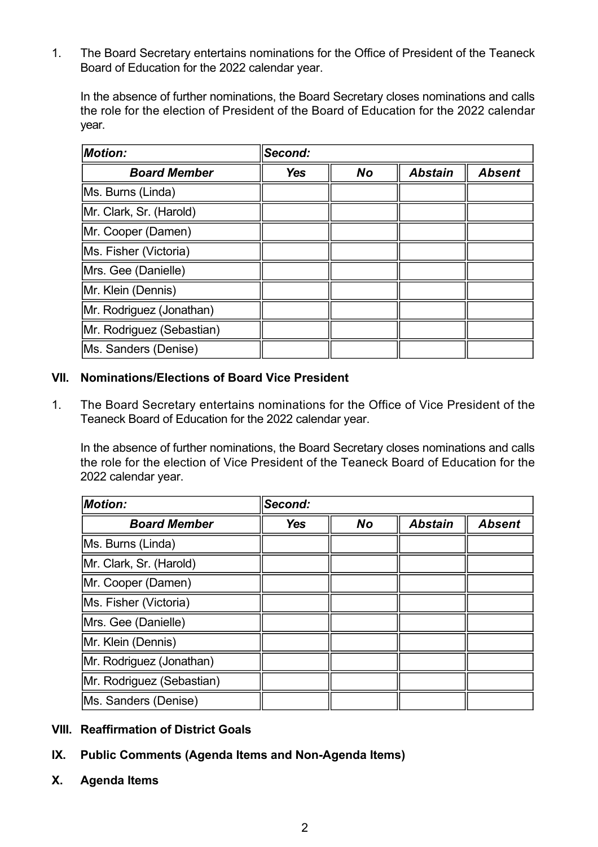1. The Board Secretary entertains nominations for the Office of President of the Teaneck Board of Education for the 2022 calendar year.

In the absence of further nominations, the Board Secretary closes nominations and calls the role for the election of President of the Board of Education for the 2022 calendar year.

| <b>Motion:</b>            | Second:    |           |                |               |
|---------------------------|------------|-----------|----------------|---------------|
| <b>Board Member</b>       | <b>Yes</b> | <b>No</b> | <b>Abstain</b> | <b>Absent</b> |
| Ms. Burns (Linda)         |            |           |                |               |
| Mr. Clark, Sr. (Harold)   |            |           |                |               |
| Mr. Cooper (Damen)        |            |           |                |               |
| Ms. Fisher (Victoria)     |            |           |                |               |
| Mrs. Gee (Danielle)       |            |           |                |               |
| Mr. Klein (Dennis)        |            |           |                |               |
| Mr. Rodriguez (Jonathan)  |            |           |                |               |
| Mr. Rodriguez (Sebastian) |            |           |                |               |
| Ms. Sanders (Denise)      |            |           |                |               |

## **VII. Nominations/Elections of Board Vice President**

1. The Board Secretary entertains nominations for the Office of Vice President of the Teaneck Board of Education for the 2022 calendar year.

In the absence of further nominations, the Board Secretary closes nominations and calls the role for the election of Vice President of the Teaneck Board of Education for the 2022 calendar year.

| <b>Motion:</b>            | Second:    |           |                |               |
|---------------------------|------------|-----------|----------------|---------------|
| <b>Board Member</b>       | <b>Yes</b> | <b>No</b> | <b>Abstain</b> | <b>Absent</b> |
| Ms. Burns (Linda)         |            |           |                |               |
| Mr. Clark, Sr. (Harold)   |            |           |                |               |
| Mr. Cooper (Damen)        |            |           |                |               |
| Ms. Fisher (Victoria)     |            |           |                |               |
| Mrs. Gee (Danielle)       |            |           |                |               |
| Mr. Klein (Dennis)        |            |           |                |               |
| Mr. Rodriguez (Jonathan)  |            |           |                |               |
| Mr. Rodriguez (Sebastian) |            |           |                |               |
| Ms. Sanders (Denise)      |            |           |                |               |

- **VIII. Reaffirmation of District Goals**
- **IX.** Public Comments (Agenda Items and Non-Agenda Items)
- **X. Agenda Items**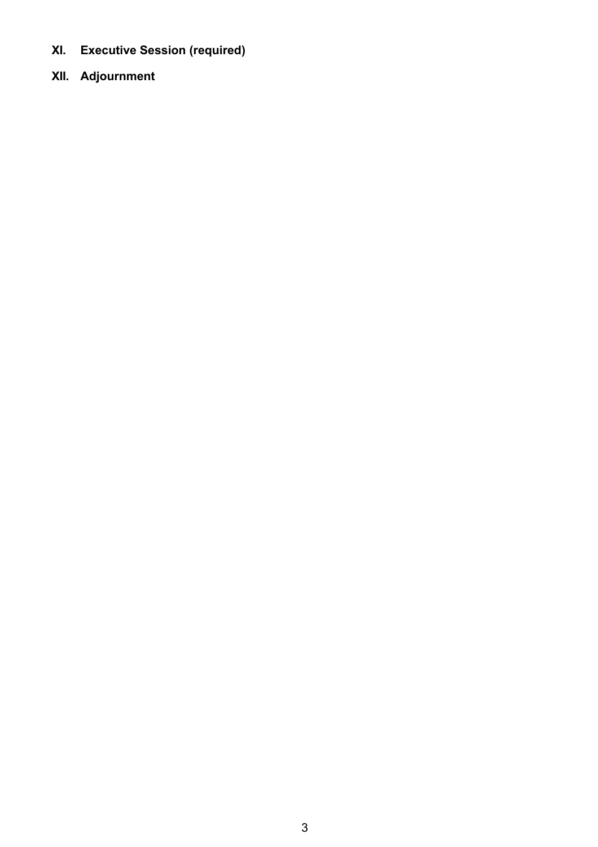- **XI. Executive Session (required)**
- **XII. Adjournment**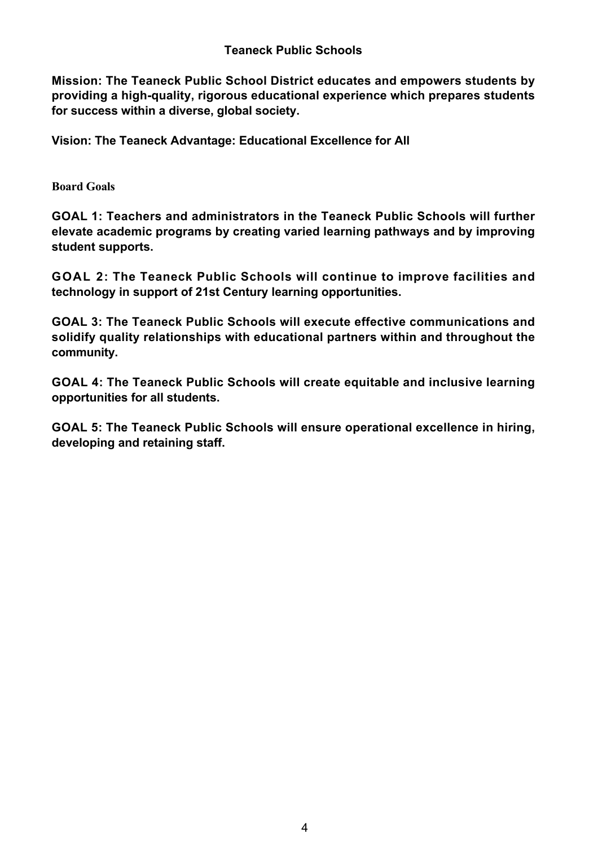**Mission: The Teaneck Public School District educates and empowers students by** providing a high-quality, rigorous educational experience which prepares students **for success within a diverse, global society.**

**Vision: The Teaneck Advantage: Educational Excellence for All**

**Board Goals**

**GOAL 1: Teachers and administrators in the Teaneck Public Schools will further elevate academic programs by creating varied learning pathways and by improving student supports.**

**GOAL 2: The Teaneck Public Schools will continue to improve facilities and technology in support of 21st Century learning opportunities.**

**GOAL 3: The Teaneck Public Schools will execute effective communications and solidify quality relationships with educational partners within and throughout the community.**

**GOAL 4: The Teaneck Public Schools will create equitable and inclusive learning opportunities for all students.**

**GOAL 5: The Teaneck Public Schools will ensure operational excellence in hiring, developing and retaining staff.**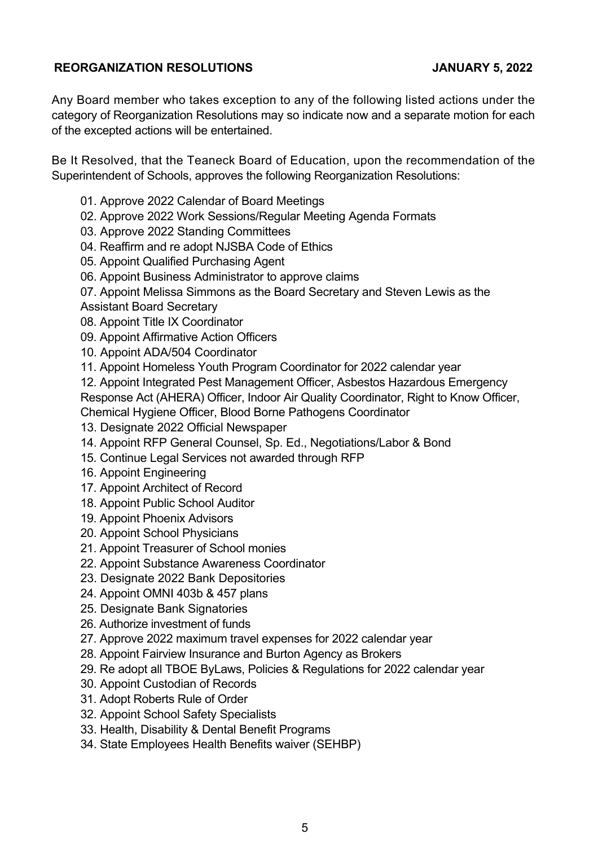# **REORGANIZATION RESOLUTIONS JANUARY 5, 2022**

Any Board member who takes exception to any of the following listed actions under the category of Reorganization Resolutions may so indicate now and a separate motion for each of the excepted actions will be entertained.

Be It Resolved, that the Teaneck Board of Education, upon the recommendation of the Superintendent of Schools, approves the following Reorganization Resolutions:

- 01. Approve 2022 Calendar of Board Meetings
- 02. Approve 2022 Work Sessions/Regular Meeting Agenda Formats
- 03. Approve 2022 Standing Committees
- 04. Reaffirm and re adopt NJSBA Code of Ethics
- 05. Appoint Qualified Purchasing Agent
- 06. Appoint Business Administrator to approve claims
- 07. Appoint Melissa Simmons as the Board Secretary and Steven Lewis as the Assistant Board Secretary
- 08. Appoint Title IX Coordinator
- 09. Appoint Affirmative Action Officers
- 10. Appoint ADA/504 Coordinator
- 11. Appoint Homeless Youth Program Coordinator for 2022 calendar year
- 12. Appoint Integrated Pest Management Officer, Asbestos Hazardous Emergency
- Response Act (AHERA) Officer, Indoor Air Quality Coordinator, Right to Know Officer,

Chemical Hygiene Officer, Blood Borne Pathogens Coordinator

- 13. Designate 2022 Official Newspaper
- 14. Appoint RFP General Counsel, Sp. Ed., Negotiations/Labor & Bond
- 15. Continue Legal Services not awarded through RFP
- 16. Appoint Engineering
- 17. Appoint Architect of Record
- 18. Appoint Public School Auditor
- 19. Appoint Phoenix Advisors
- 20. Appoint School Physicians
- 21. Appoint Treasurer of School monies
- 22. Appoint Substance Awareness Coordinator
- 23. Designate 2022 Bank Depositories
- 24. Appoint OMNI 403b & 457 plans
- 25. Designate Bank Signatories
- 26. Authorize investment of funds
- 27. Approve 2022 maximum travel expenses for 2022 calendar year
- 28. Appoint Fairview Insurance and Burton Agency as Brokers
- 29. Re adopt all TBOE ByLaws, Policies & Regulations for 2022 calendar year
- 30. Appoint Custodian of Records
- 31. Adopt Roberts Rule of Order
- 32. Appoint School Safety Specialists
- 33. Health, Disability & Dental Benefit Programs
- 34. State Employees Health Benefits waiver (SEHBP)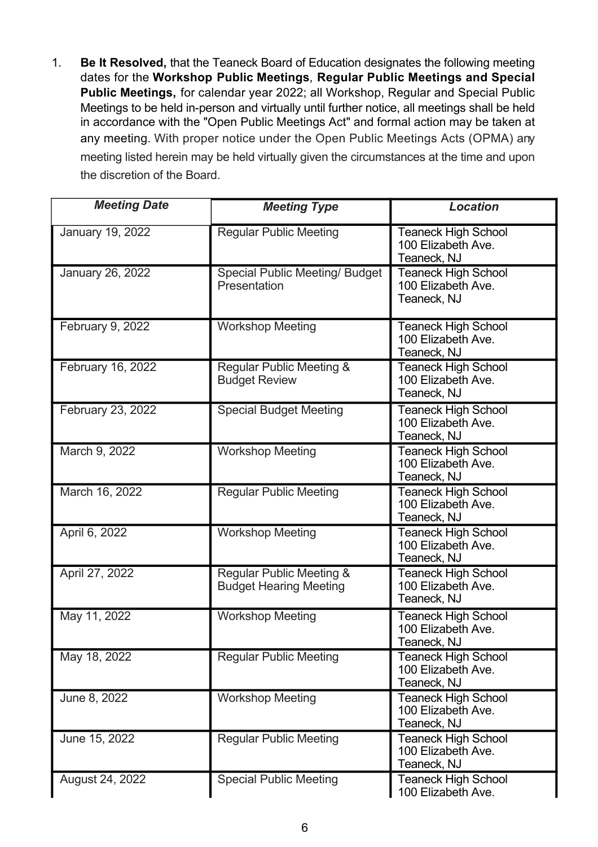1. **Be It Resolved,** that the Teaneck Board of Education designates the following meeting dates for the **Workshop Public Meetings**, **Regular Public Meetings and Special Public Meetings,** for calendar year 2022; all Workshop, Regular and Special Public Meetings to be held in-person and virtually until further notice, all meetings shall be held in accordance with the "Open Public Meetings Act" and formal action may be taken at any meeting. With proper notice under the Open Public Meetings Acts (OPMA) any meeting listed herein may be held virtually given the circumstances at the time and upon the discretion of the Board.

| <b>Meeting Date</b>     | <b>Meeting Type</b>                                       | <b>Location</b>                                                 |
|-------------------------|-----------------------------------------------------------|-----------------------------------------------------------------|
| January 19, 2022        | <b>Regular Public Meeting</b>                             | <b>Teaneck High School</b><br>100 Elizabeth Ave.<br>Teaneck, NJ |
| <b>January 26, 2022</b> | <b>Special Public Meeting/ Budget</b><br>Presentation     | <b>Teaneck High School</b><br>100 Elizabeth Ave.<br>Teaneck, NJ |
| February 9, 2022        | <b>Workshop Meeting</b>                                   | <b>Teaneck High School</b><br>100 Elizabeth Ave.<br>Teaneck, NJ |
| February 16, 2022       | Regular Public Meeting &<br><b>Budget Review</b>          | <b>Teaneck High School</b><br>100 Elizabeth Ave.<br>Teaneck, NJ |
| February 23, 2022       | <b>Special Budget Meeting</b>                             | <b>Teaneck High School</b><br>100 Elizabeth Ave.<br>Teaneck, NJ |
| March 9, 2022           | <b>Workshop Meeting</b>                                   | Teaneck High School<br>100 Elizabeth Ave.<br>Teaneck, NJ        |
| March 16, 2022          | <b>Regular Public Meeting</b>                             | <b>Teaneck High School</b><br>100 Elizabeth Ave.<br>Teaneck, NJ |
| April 6, 2022           | <b>Workshop Meeting</b>                                   | <b>Teaneck High School</b><br>100 Elizabeth Ave.<br>Teaneck, NJ |
| April 27, 2022          | Regular Public Meeting &<br><b>Budget Hearing Meeting</b> | <b>Teaneck High School</b><br>100 Elizabeth Ave.<br>Teaneck, NJ |
| May 11, 2022            | <b>Workshop Meeting</b>                                   | <b>Teaneck High School</b><br>100 Elizabeth Ave.<br>Teaneck, NJ |
| May 18, 2022            | <b>Regular Public Meeting</b>                             | <b>Teaneck High School</b><br>100 Elizabeth Ave.<br>Teaneck, NJ |
| June 8, 2022            | <b>Workshop Meeting</b>                                   | <b>Teaneck High School</b><br>100 Elizabeth Ave.<br>Teaneck, NJ |
| June 15, 2022           | <b>Regular Public Meeting</b>                             | <b>Teaneck High School</b><br>100 Elizabeth Ave.<br>Teaneck, NJ |
| August 24, 2022         | <b>Special Public Meeting</b>                             | <b>Teaneck High School</b><br>100 Elizabeth Ave.                |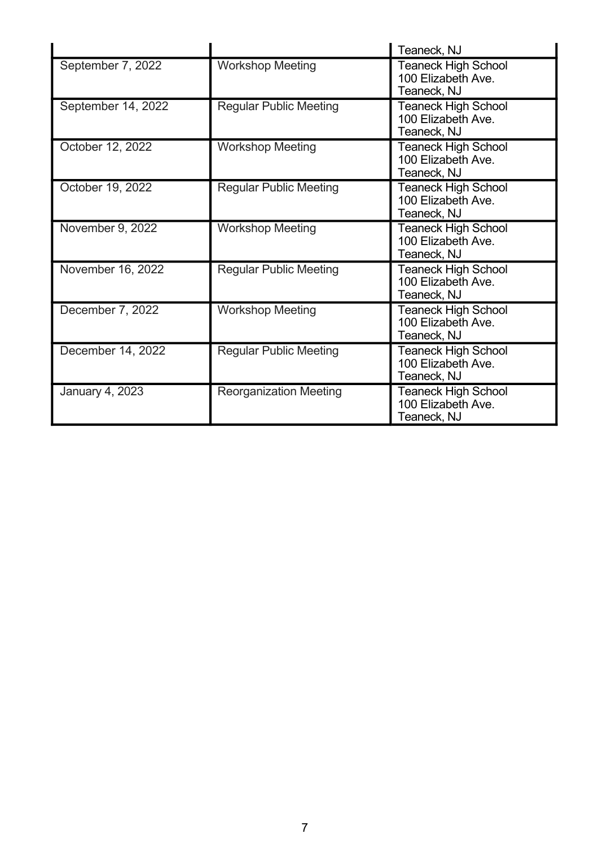|                    |                               | Teaneck, NJ                                                     |
|--------------------|-------------------------------|-----------------------------------------------------------------|
| September 7, 2022  | <b>Workshop Meeting</b>       | <b>Teaneck High School</b><br>100 Elizabeth Ave.<br>Teaneck, NJ |
| September 14, 2022 | <b>Regular Public Meeting</b> | <b>Teaneck High School</b><br>100 Elizabeth Ave.<br>Teaneck, NJ |
| October 12, 2022   | <b>Workshop Meeting</b>       | Teaneck High School<br>100 Elizabeth Ave.<br>Teaneck, NJ        |
| October 19, 2022   | <b>Regular Public Meeting</b> | <b>Teaneck High School</b><br>100 Elizabeth Ave.<br>Teaneck, NJ |
| November 9, 2022   | <b>Workshop Meeting</b>       | Teaneck High School<br>100 Elizabeth Ave.<br>Teaneck, NJ        |
| November 16, 2022  | <b>Regular Public Meeting</b> | Teaneck High School<br>100 Elizabeth Ave.<br>Teaneck, NJ        |
| December 7, 2022   | <b>Workshop Meeting</b>       | Teaneck High School<br>100 Elizabeth Ave.<br>Teaneck, NJ        |
| December 14, 2022  | <b>Regular Public Meeting</b> | <b>Teaneck High School</b><br>100 Elizabeth Ave.<br>Teaneck, NJ |
| January 4, 2023    | <b>Reorganization Meeting</b> | <b>Teaneck High School</b><br>100 Elizabeth Ave.<br>Teaneck, NJ |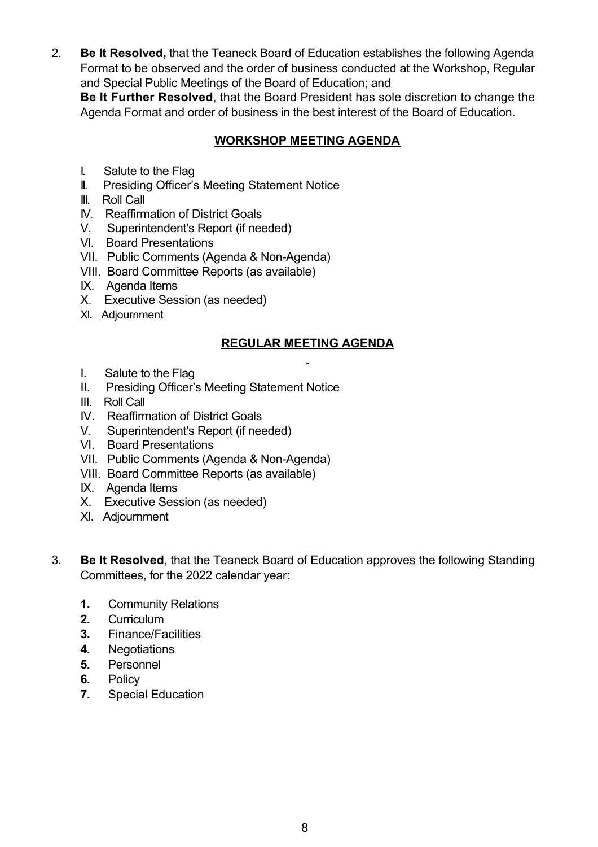2. **Be It Resolved,** that the Teaneck Board of Education establishes the following Agenda Format to be observed and the order of business conducted at the Workshop, Regular and Special Public Meetings of the Board of Education; and

**Be It Further Resolved**, that the Board President has sole discretion to change the Agenda Format and order of business in the best interest of the Board of Education.

# **WORKSHOP MEETING AGENDA**

- I. Salute to the Flag
- II. Presiding Officer's Meeting Statement Notice
- III. Roll Call
- IV. Reaffirmation of District Goals
- V. Superintendent's Report (if needed)
- VI. Board Presentations
- VII. Public Comments (Agenda & Non-Agenda)
- VIII. Board Committee Reports (as available)
- IX. Agenda Items
- X. Executive Session (as needed)
- XI. Adjournment

# **REGULAR MEETING AGENDA**

- I. Salute to the Flag
- II. Presiding Officer's Meeting Statement Notice
- III. Roll Call
- IV. Reaffirmation of District Goals
- V. Superintendent's Report (if needed)
- VI. Board Presentations
- VII. Public Comments (Agenda & Non-Agenda)
- VIII. Board Committee Reports (as available)
- IX. Agenda Items
- X. Executive Session (as needed)
- XI. Adjournment
- 3. **Be It Resolved**, that the Teaneck Board of Education approves the following Standing Committees, for the 2022 calendar year:
	- **1.** Community Relations
	- **2.**  Curriculum
	- **3.** Finance/Facilities
	- **4.** Negotiations
	- **5.**  Personnel
	- **6.**  Policy
	- **7.** Special Education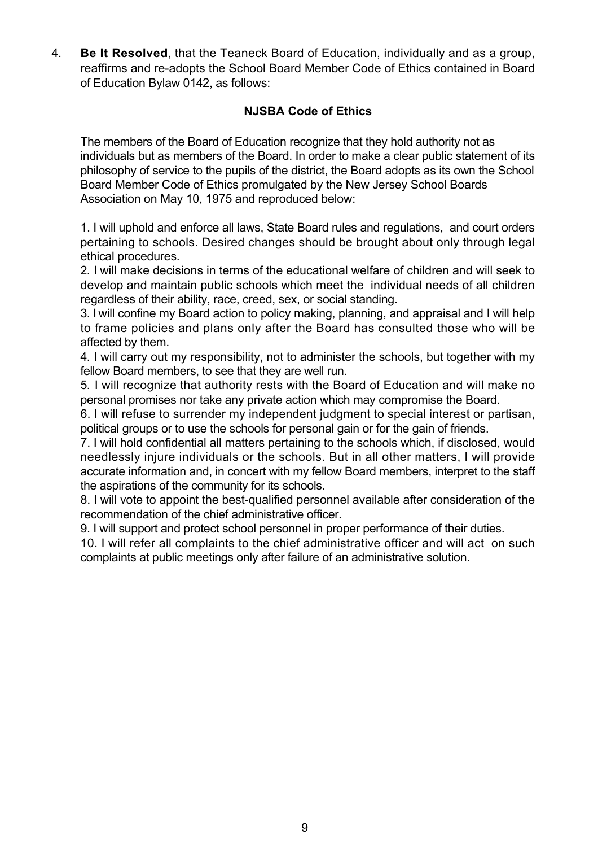4. **Be It Resolved**, that the Teaneck Board of Education, individually and as a group, reaffirms and re-adopts the School Board Member Code of Ethics contained in Board of Education Bylaw 0142, as follows:

# **NJSBA Code of Ethics**

The members of the Board of Education recognize that they hold authority not as individuals but as members of the Board. In order to make a clear public statement of its philosophy of service to the pupils of the district, the Board adopts as its own the School Board Member Code of Ethics promulgated by the New Jersey School Boards Association on May 10, 1975 and reproduced below:

1. I will uphold and enforce all laws, State Board rules and regulations, and court orders pertaining to schools. Desired changes should be brought about only through legal ethical procedures.

2. I will make decisions in terms of the educational welfare of children and will seek to develop and maintain public schools which meet the individual needs of all children regardless of their ability, race, creed, sex, or social standing.

3. I will confine my Board action to policy making, planning, and appraisal and I will help to frame policies and plans only after the Board has consulted those who will be affected by them.

4. I will carry out my responsibility, not to administer the schools, but together with my fellow Board members, to see that they are well run.

5. I will recognize that authority rests with the Board of Education and will make no personal promises nor take any private action which may compromise the Board.

6. I will refuse to surrender my independent judgment to special interest or partisan, political groups or to use the schools for personal gain or for the gain of friends.

7. I will hold confidential all matters pertaining to the schools which, if disclosed, would needlessly injure individuals or the schools. But in all other matters, I will provide accurate information and, in concert with my fellow Board members, interpret to the staff the aspirations of the community for its schools.

8. I will vote to appoint the best-qualified personnel available after consideration of the recommendation of the chief administrative officer.

9. I will support and protect school personnel in proper performance of their duties.

10. I will refer all complaints to the chief administrative officer and will act on such complaints at public meetings only after failure of an administrative solution.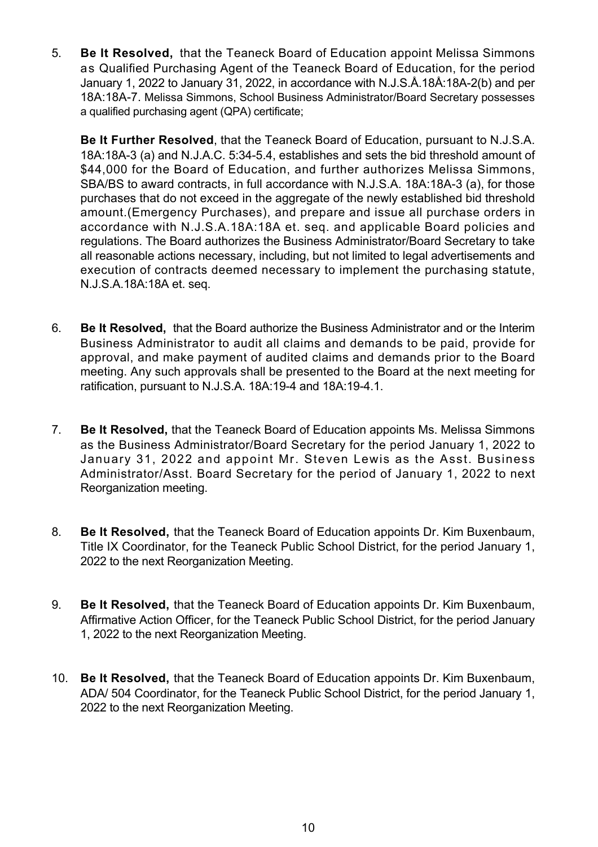5. **Be It Resolved,** that the Teaneck Board of Education appoint Melissa Simmons as Qualified Purchasing Agent of the Teaneck Board of Education, for the period January 1, 2022 to January 31, 2022, in accordance with N.J.S.Å.18Å:18A-2(b) and per 18A:18A7. Melissa Simmons, School Business Administrator/Board Secretary possesses a qualified purchasing agent (QPA) certificate;

**Be It Further Resolved**, that the Teaneck Board of Education, pursuant to N.J.S.A. 18A:18A-3 (a) and N.J.A.C. 5:34-5.4, establishes and sets the bid threshold amount of \$44,000 for the Board of Education, and further authorizes Melissa Simmons, SBA/BS to award contracts, in full accordance with N.J.S.A. 18A:18A-3 (a), for those purchases that do not exceed in the aggregate of the newly established bid threshold amount.(Emergency Purchases), and prepare and issue all purchase orders in accordance with N.J.S.A.18A:18A et. seq. and applicable Board policies and regulations. The Board authorizes the Business Administrator/Board Secretary to take all reasonable actions necessary, including, but not limited to legal advertisements and execution of contracts deemed necessary to implement the purchasing statute, N.J.S.A.18A:18A et. seq.

- 6. **Be It Resolved,** that the Board authorize the Business Administrator and or the Interim Business Administrator to audit all claims and demands to be paid, provide for approval, and make payment of audited claims and demands prior to the Board meeting. Any such approvals shall be presented to the Board at the next meeting for ratification, pursuant to N.J.S.A. 18A:19-4 and 18A:19-4.1.
- 7. **Be It Resolved,** that the Teaneck Board of Education appoints Ms. Melissa Simmons as the Business Administrator/Board Secretary for the period January 1, 2022 to January 31, 2022 and appoint Mr. Steven Lewis as the Asst. Business Administrator/Asst. Board Secretary for the period of January 1, 2022 to next Reorganization meeting.
- 8. **Be It Resolved,** that the Teaneck Board of Education appoints Dr. Kim Buxenbaum, Title IX Coordinator, for the Teaneck Public School District, for the period January 1, 2022 to the next Reorganization Meeting.
- 9. **Be It Resolved,** that the Teaneck Board of Education appoints Dr. Kim Buxenbaum, Affirmative Action Officer, for the Teaneck Public School District, for the period January 1, 2022 to the next Reorganization Meeting.
- 10. **Be It Resolved,** that the Teaneck Board of Education appoints Dr. Kim Buxenbaum, ADA/ 504 Coordinator, for the Teaneck Public School District, for the period January 1, 2022 to the next Reorganization Meeting.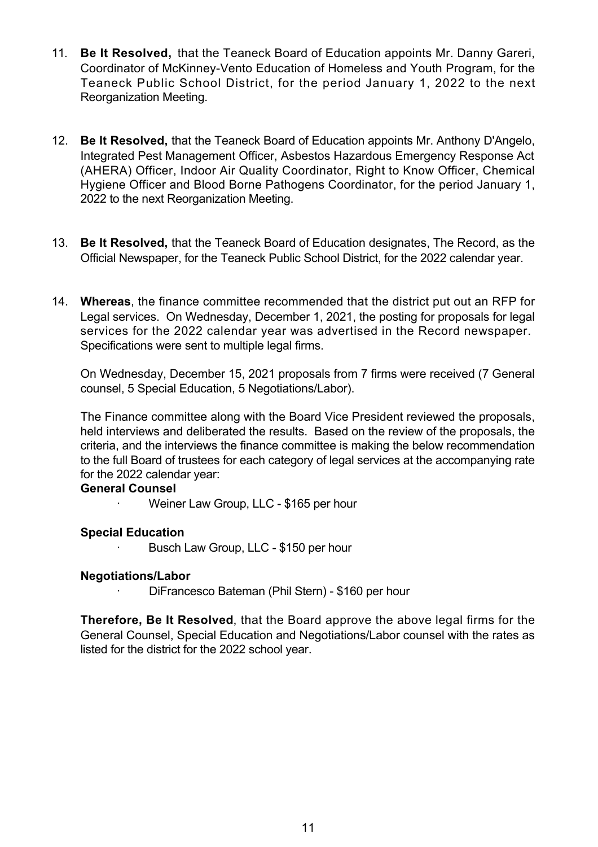- 11. **Be It Resolved,** that the Teaneck Board of Education appoints Mr. Danny Gareri, Coordinator of McKinney-Vento Education of Homeless and Youth Program, for the Teaneck Public School District, for the period January 1, 2022 to the next Reorganization Meeting.
- 12. **Be It Resolved,** that the Teaneck Board of Education appoints Mr. Anthony D'Angelo, Integrated Pest Management Officer, Asbestos Hazardous Emergency Response Act (AHERA) Officer, Indoor Air Quality Coordinator, Right to Know Officer, Chemical Hygiene Officer and Blood Borne Pathogens Coordinator, for the period January 1, 2022 to the next Reorganization Meeting.
- 13. **Be It Resolved,** that the Teaneck Board of Education designates, The Record, as the Official Newspaper, for the Teaneck Public School District, for the 2022 calendar year.
- 14. **Whereas**, the finance committee recommended that the district put out an RFP for Legal services. On Wednesday, December 1, 2021, the posting for proposals for legal services for the 2022 calendar year was advertised in the Record newspaper. Specifications were sent to multiple legal firms.

On Wednesday, December 15, 2021 proposals from 7 firms were received (7 General counsel, 5 Special Education, 5 Negotiations/Labor).

The Finance committee along with the Board Vice President reviewed the proposals, held interviews and deliberated the results. Based on the review of the proposals, the criteria, and the interviews the finance committee is making the below recommendation to the full Board of trustees for each category of legal services at the accompanying rate for the 2022 calendar year:

#### **General Counsel**

Weiner Law Group, LLC - \$165 per hour

#### **Special Education**

Busch Law Group, LLC - \$150 per hour

#### **Negotiations/Labor**

DiFrancesco Bateman (Phil Stern) - \$160 per hour

**Therefore, Be It Resolved**, that the Board approve the above legal firms for the General Counsel, Special Education and Negotiations/Labor counsel with the rates as listed for the district for the 2022 school year.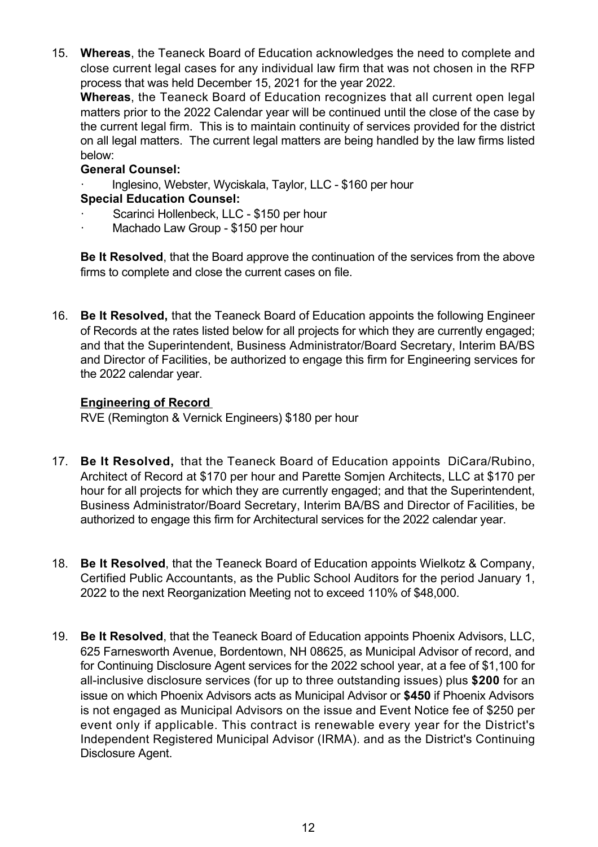15. **Whereas**, the Teaneck Board of Education acknowledges the need to complete and close current legal cases for any individual law firm that was not chosen in the RFP process that was held December 15, 2021 for the year 2022.

**Whereas**, the Teaneck Board of Education recognizes that all current open legal matters prior to the 2022 Calendar year will be continued until the close of the case by the current legal firm. This is to maintain continuity of services provided for the district on all legal matters. The current legal matters are being handled by the law firms listed below:

## **General Counsel:**

Inglesino, Webster, Wyciskala, Taylor, LLC - \$160 per hour

# **Special Education Counsel:**

- Scarinci Hollenbeck, LLC \$150 per hour
- Machado Law Group \$150 per hour

**Be It Resolved**, that the Board approve the continuation of the services from the above firms to complete and close the current cases on file.

16. **Be It Resolved,** that the Teaneck Board of Education appoints the following Engineer of Records at the rates listed below for all projects for which they are currently engaged; and that the Superintendent, Business Administrator/Board Secretary, Interim BA/BS and Director of Facilities, be authorized to engage this firm for Engineering services for the 2022 calendar year.

## **Engineering of Record**

RVE (Remington & Vernick Engineers) \$180 per hour

- 17. **Be It Resolved,** that the Teaneck Board of Education appoints DiCara/Rubino, Architect of Record at \$170 per hour and Parette Somjen Architects, LLC at \$170 per hour for all projects for which they are currently engaged; and that the Superintendent, Business Administrator/Board Secretary, Interim BA/BS and Director of Facilities, be authorized to engage this firm for Architectural services for the 2022 calendar year.
- 18. **Be It Resolved**, that the Teaneck Board of Education appoints Wielkotz & Company, Certified Public Accountants, as the Public School Auditors for the period January 1, 2022 to the next Reorganization Meeting not to exceed 110% of \$48,000.
- 19. **Be It Resolved**, that the Teaneck Board of Education appoints Phoenix Advisors, LLC, 625 Farnesworth Avenue, Bordentown, NH 08625, as Municipal Advisor of record, and for Continuing Disclosure Agent services for the 2022 school year, at a fee of \$1,100 for all-inclusive disclosure services (for up to three outstanding issues) plus \$200 for an issue on which Phoenix Advisors acts as Municipal Advisor or **\$450** if Phoenix Advisors is not engaged as Municipal Advisors on the issue and Event Notice fee of \$250 per event only if applicable. This contract is renewable every year for the District's Independent Registered Municipal Advisor (IRMA). and as the District's Continuing Disclosure Agent.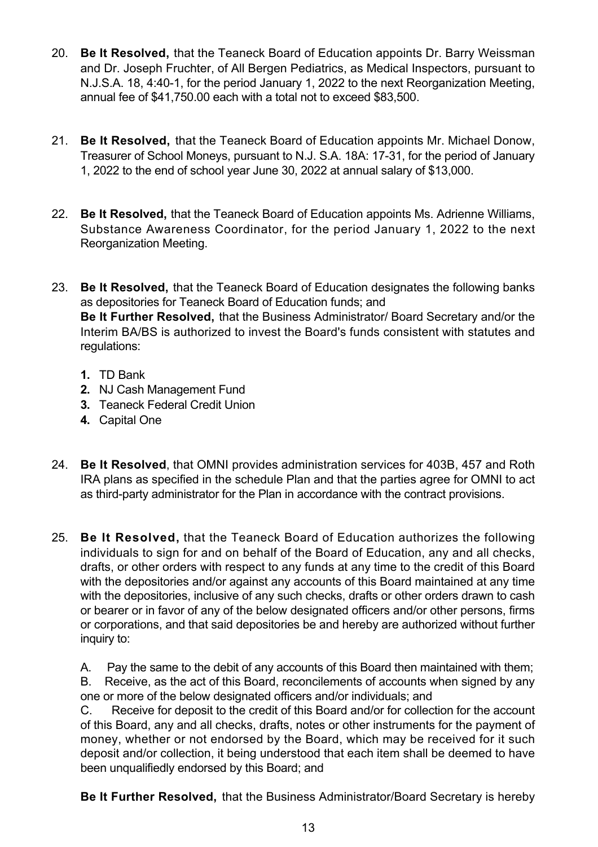- 20. **Be It Resolved,** that the Teaneck Board of Education appoints Dr. Barry Weissman and Dr. Joseph Fruchter, of All Bergen Pediatrics, as Medical Inspectors, pursuant to N.J.S.A. 18, 4:40-1, for the period January 1, 2022 to the next Reorganization Meeting. annual fee of \$41,750.00 each with a total not to exceed \$83,500.
- 21. **Be It Resolved,** that the Teaneck Board of Education appoints Mr. Michael Donow, Treasurer of School Moneys, pursuant to N.J. S.A. 18A: 17-31, for the period of January 1, 2022 to the end of school year June 30, 2022 at annual salary of \$13,000.
- 22. **Be It Resolved,** that the Teaneck Board of Education appoints Ms. Adrienne Williams, Substance Awareness Coordinator, for the period January 1, 2022 to the next Reorganization Meeting.
- 23. **Be It Resolved,** that the Teaneck Board of Education designates the following banks as depositories for Teaneck Board of Education funds; and **Be It Further Resolved,** that the Business Administrator/ Board Secretary and/or the Interim BA/BS is authorized to invest the Board's funds consistent with statutes and regulations:
	- **1.** TD Bank
	- **2.** NJ Cash Management Fund
	- **3.** Teaneck Federal Credit Union
	- **4.** Capital One
- 24. **Be It Resolved**, that OMNI provides administration services for 403B, 457 and Roth IRA plans as specified in the schedule Plan and that the parties agree for OMNI to act as third-party administrator for the Plan in accordance with the contract provisions.
- 25. **Be It Resolved,** that the Teaneck Board of Education authorizes the following individuals to sign for and on behalf of the Board of Education, any and all checks, drafts, or other orders with respect to any funds at any time to the credit of this Board with the depositories and/or against any accounts of this Board maintained at any time with the depositories, inclusive of any such checks, drafts or other orders drawn to cash or bearer or in favor of any of the below designated officers and/or other persons, firms or corporations, and that said depositories be and hereby are authorized without further inquiry to:

A. Pay the same to the debit of any accounts of this Board then maintained with them; B. Receive, as the act of this Board, reconcilements of accounts when signed by any one or more of the below designated officers and/or individuals; and

C. Receive for deposit to the credit of this Board and/or for collection for the account of this Board, any and all checks, drafts, notes or other instruments for the payment of money, whether or not endorsed by the Board, which may be received for it such deposit and/or collection, it being understood that each item shall be deemed to have been unqualifiedly endorsed by this Board; and

**Be It Further Resolved,** that the Business Administrator/Board Secretary is hereby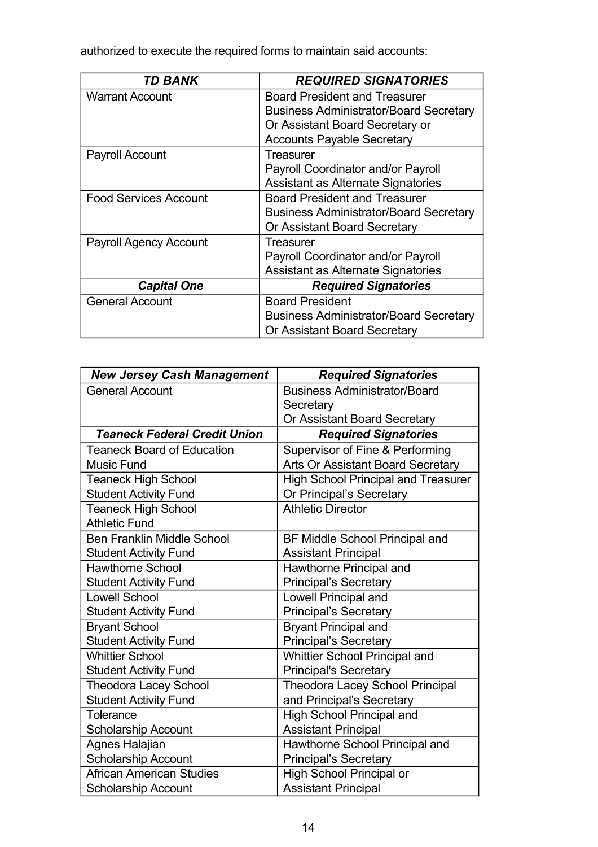authorized to execute the required forms to maintain said accounts:

| <b>TD BANK</b>                | <b>REQUIRED SIGNATORIES</b>                   |
|-------------------------------|-----------------------------------------------|
| <b>Warrant Account</b>        | <b>Board President and Treasurer</b>          |
|                               | <b>Business Administrator/Board Secretary</b> |
|                               | Or Assistant Board Secretary or               |
|                               | <b>Accounts Payable Secretary</b>             |
| Payroll Account               | Treasurer                                     |
|                               | Payroll Coordinator and/or Payroll            |
|                               | Assistant as Alternate Signatories            |
| <b>Food Services Account</b>  | <b>Board President and Treasurer</b>          |
|                               | <b>Business Administrator/Board Secretary</b> |
|                               | <b>Or Assistant Board Secretary</b>           |
| <b>Payroll Agency Account</b> | Treasurer                                     |
|                               | Payroll Coordinator and/or Payroll            |
|                               | Assistant as Alternate Signatories            |
| <b>Capital One</b>            | <b>Required Signatories</b>                   |
| <b>General Account</b>        | <b>Board President</b>                        |
|                               | <b>Business Administrator/Board Secretary</b> |
|                               | Or Assistant Board Secretary                  |

| <b>New Jersey Cash Management</b>   | <b>Required Signatories</b>                |
|-------------------------------------|--------------------------------------------|
| <b>General Account</b>              | <b>Business Administrator/Board</b>        |
|                                     | Secretary                                  |
|                                     | Or Assistant Board Secretary               |
| <b>Teaneck Federal Credit Union</b> | <b>Required Signatories</b>                |
| <b>Teaneck Board of Education</b>   | Supervisor of Fine & Performing            |
| <b>Music Fund</b>                   | Arts Or Assistant Board Secretary          |
| <b>Teaneck High School</b>          | <b>High School Principal and Treasurer</b> |
| <b>Student Activity Fund</b>        | Or Principal's Secretary                   |
| <b>Teaneck High School</b>          | <b>Athletic Director</b>                   |
| <b>Athletic Fund</b>                |                                            |
| <b>Ben Franklin Middle School</b>   | <b>BF Middle School Principal and</b>      |
| <b>Student Activity Fund</b>        | <b>Assistant Principal</b>                 |
| <b>Hawthorne School</b>             | Hawthorne Principal and                    |
| <b>Student Activity Fund</b>        | <b>Principal's Secretary</b>               |
| <b>Lowell School</b>                | <b>Lowell Principal and</b>                |
| <b>Student Activity Fund</b>        | <b>Principal's Secretary</b>               |
| <b>Bryant School</b>                | <b>Bryant Principal and</b>                |
| <b>Student Activity Fund</b>        | <b>Principal's Secretary</b>               |
| <b>Whittier School</b>              | <b>Whittier School Principal and</b>       |
| <b>Student Activity Fund</b>        | <b>Principal's Secretary</b>               |
| <b>Theodora Lacey School</b>        | <b>Theodora Lacey School Principal</b>     |
| <b>Student Activity Fund</b>        | and Principal's Secretary                  |
| Tolerance                           | <b>High School Principal and</b>           |
| <b>Scholarship Account</b>          | <b>Assistant Principal</b>                 |
| Agnes Halajian                      | Hawthorne School Principal and             |
| <b>Scholarship Account</b>          | <b>Principal's Secretary</b>               |
| African American Studies            | High School Principal or                   |
| <b>Scholarship Account</b>          | <b>Assistant Principal</b>                 |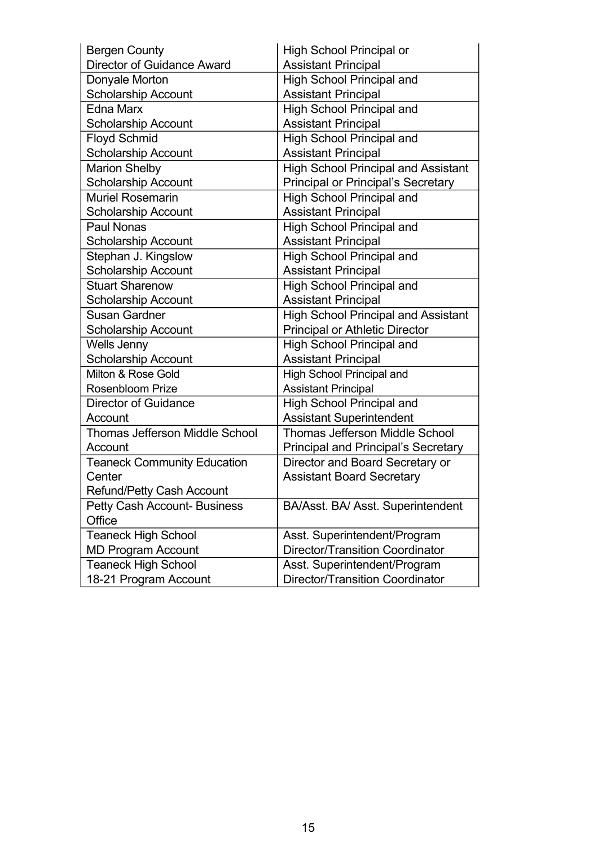| <b>Bergen County</b>                  | <b>High School Principal or</b>            |
|---------------------------------------|--------------------------------------------|
| <b>Director of Guidance Award</b>     | <b>Assistant Principal</b>                 |
| Donyale Morton                        | <b>High School Principal and</b>           |
| <b>Scholarship Account</b>            | <b>Assistant Principal</b>                 |
| <b>Edna Marx</b>                      | <b>High School Principal and</b>           |
| <b>Scholarship Account</b>            | <b>Assistant Principal</b>                 |
| <b>Floyd Schmid</b>                   | <b>High School Principal and</b>           |
| <b>Scholarship Account</b>            | <b>Assistant Principal</b>                 |
| <b>Marion Shelby</b>                  | <b>High School Principal and Assistant</b> |
| <b>Scholarship Account</b>            | <b>Principal or Principal's Secretary</b>  |
| <b>Muriel Rosemarin</b>               | <b>High School Principal and</b>           |
| <b>Scholarship Account</b>            | <b>Assistant Principal</b>                 |
| Paul Nonas                            | <b>High School Principal and</b>           |
| <b>Scholarship Account</b>            | <b>Assistant Principal</b>                 |
| Stephan J. Kingslow                   | <b>High School Principal and</b>           |
| <b>Scholarship Account</b>            | <b>Assistant Principal</b>                 |
| <b>Stuart Sharenow</b>                | <b>High School Principal and</b>           |
| <b>Scholarship Account</b>            | <b>Assistant Principal</b>                 |
| <b>Susan Gardner</b>                  | <b>High School Principal and Assistant</b> |
| <b>Scholarship Account</b>            | <b>Principal or Athletic Director</b>      |
| Wells Jenny                           | <b>High School Principal and</b>           |
| <b>Scholarship Account</b>            | <b>Assistant Principal</b>                 |
| Milton & Rose Gold                    | <b>High School Principal and</b>           |
| <b>Rosenbloom Prize</b>               | <b>Assistant Principal</b>                 |
| Director of Guidance                  | <b>High School Principal and</b>           |
| Account                               | <b>Assistant Superintendent</b>            |
| <b>Thomas Jefferson Middle School</b> | <b>Thomas Jefferson Middle School</b>      |
| Account                               | <b>Principal and Principal's Secretary</b> |
| <b>Teaneck Community Education</b>    | Director and Board Secretary or            |
| Center                                | <b>Assistant Board Secretary</b>           |
| Refund/Petty Cash Account             |                                            |
| <b>Petty Cash Account- Business</b>   | BA/Asst. BA/ Asst. Superintendent          |
| Office                                |                                            |
| <b>Teaneck High School</b>            | Asst. Superintendent/Program               |
| <b>MD Program Account</b>             | <b>Director/Transition Coordinator</b>     |
| <b>Teaneck High School</b>            | Asst. Superintendent/Program               |
| 18-21 Program Account                 | <b>Director/Transition Coordinator</b>     |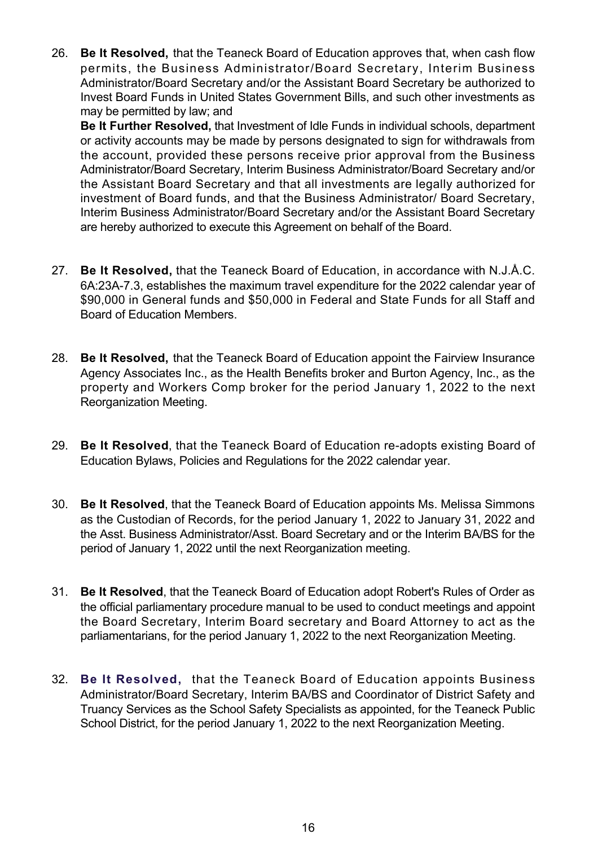26. **Be It Resolved,** that the Teaneck Board of Education approves that, when cash flow permits, the Business Administrator/Board Secretary, Interim Business Administrator/Board Secretary and/or the Assistant Board Secretary be authorized to Invest Board Funds in United States Government Bills, and such other investments as may be permitted by law; and

**Be It Further Resolved,** that Investment of Idle Funds in individual schools, department or activity accounts may be made by persons designated to sign for withdrawals from the account, provided these persons receive prior approval from the Business Administrator/Board Secretary, Interim Business Administrator/Board Secretary and/or the Assistant Board Secretary and that all investments are legally authorized for investment of Board funds, and that the Business Administrator/ Board Secretary, Interim Business Administrator/Board Secretary and/or the Assistant Board Secretary are hereby authorized to execute this Agreement on behalf of the Board.

- 27. **Be It Resolved,** that the Teaneck Board of Education, in accordance with N.J.Å.C. 6A:23A7.3, establishes the maximum travel expenditure for the 2022 calendar year of \$90,000 in General funds and \$50,000 in Federal and State Funds for all Staff and Board of Education Members.
- 28. **Be It Resolved,** that the Teaneck Board of Education appoint the Fairview Insurance Agency Associates Inc., as the Health Benefits broker and Burton Agency, Inc., as the property and Workers Comp broker for the period January 1, 2022 to the next Reorganization Meeting.
- 29. **Be It Resolved**, that the Teaneck Board of Education re-adopts existing Board of Education Bylaws, Policies and Regulations for the 2022 calendar year.
- 30. **Be It Resolved**, that the Teaneck Board of Education appoints Ms. Melissa Simmons as the Custodian of Records, for the period January 1, 2022 to January 31, 2022 and the Asst. Business Administrator/Asst. Board Secretary and or the Interim BA/BS for the period of January 1, 2022 until the next Reorganization meeting.
- 31. **Be It Resolved**, that the Teaneck Board of Education adopt Robert's Rules of Order as the official parliamentary procedure manual to be used to conduct meetings and appoint the Board Secretary, Interim Board secretary and Board Attorney to act as the parliamentarians, for the period January 1, 2022 to the next Reorganization Meeting.
- 32. **Be It Resolved,** that the Teaneck Board of Education appoints Business Administrator/Board Secretary, Interim BA/BS and Coordinator of District Safety and Truancy Services as the School Safety Specialists as appointed, for the Teaneck Public School District, for the period January 1, 2022 to the next Reorganization Meeting.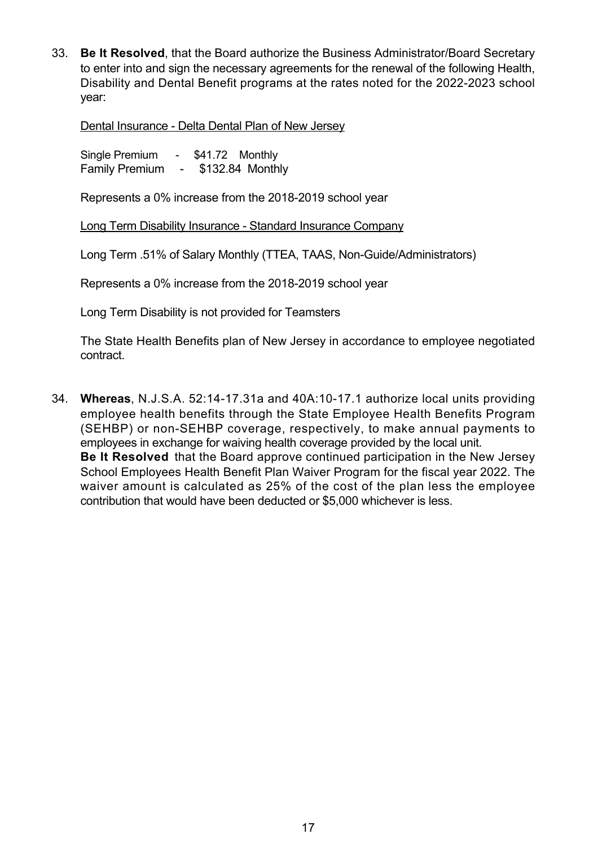33. **Be It Resolved**, that the Board authorize the Business Administrator/Board Secretary to enter into and sign the necessary agreements for the renewal of the following Health, Disability and Dental Benefit programs at the rates noted for the 2022-2023 school year:

Dental Insurance - Delta Dental Plan of New Jersey

Single Premium - \$41.72 Monthly Family Premium - \$132.84 Monthly

Represents a 0% increase from the 2018-2019 school year

Long Term Disability Insurance Standard Insurance Company

Long Term .51% of Salary Monthly (TTEA, TAAS, Non-Guide/Administrators)

Represents a 0% increase from the 2018-2019 school year

Long Term Disability is not provided for Teamsters

The State Health Benefits plan of New Jersey in accordance to employee negotiated contract.

34. **Whereas**, N.J.S.A. 52:14-17.31a and 40A:10-17.1 authorize local units providing employee health benefits through the State Employee Health Benefits Program (SEHBP) or non-SEHBP coverage, respectively, to make annual payments to employees in exchange for waiving health coverage provided by the local unit. **Be It Resolved** that the Board approve continued participation in the New Jersey School Employees Health Benefit Plan Waiver Program for the fiscal year 2022. The waiver amount is calculated as 25% of the cost of the plan less the employee contribution that would have been deducted or \$5,000 whichever is less.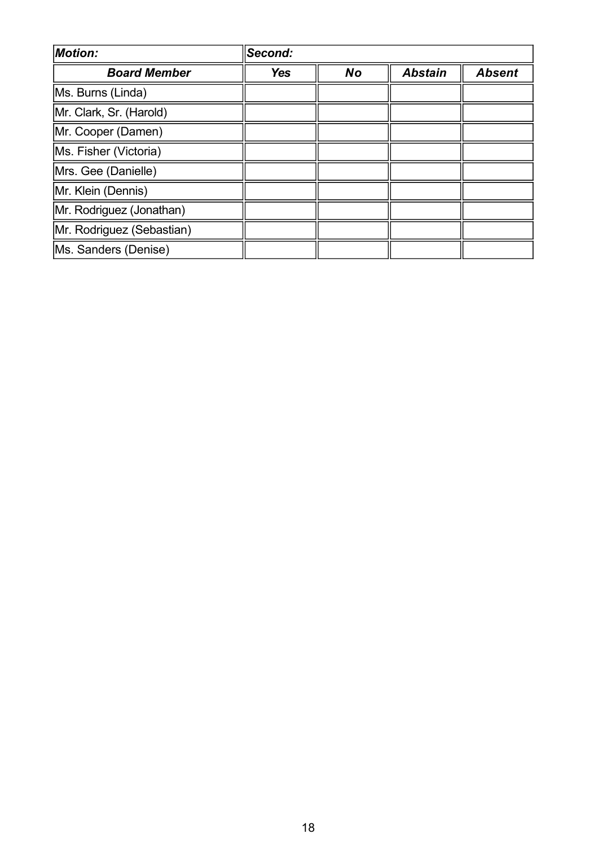| <b>Motion:</b>            | Second:    |           |                |               |
|---------------------------|------------|-----------|----------------|---------------|
| <b>Board Member</b>       | <b>Yes</b> | <b>No</b> | <b>Abstain</b> | <b>Absent</b> |
| Ms. Burns (Linda)         |            |           |                |               |
| Mr. Clark, Sr. (Harold)   |            |           |                |               |
| Mr. Cooper (Damen)        |            |           |                |               |
| Ms. Fisher (Victoria)     |            |           |                |               |
| Mrs. Gee (Danielle)       |            |           |                |               |
| Mr. Klein (Dennis)        |            |           |                |               |
| Mr. Rodriguez (Jonathan)  |            |           |                |               |
| Mr. Rodriguez (Sebastian) |            |           |                |               |
| Ms. Sanders (Denise)      |            |           |                |               |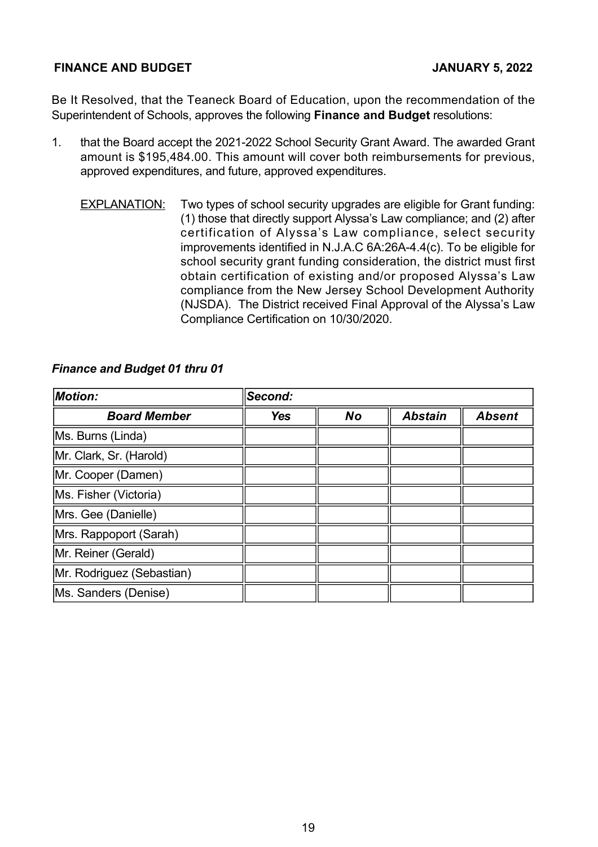#### **FINANCE AND BUDGET JANUARY 5, 2022**

Be It Resolved, that the Teaneck Board of Education, upon the recommendation of the Superintendent of Schools, approves the following **Finance and Budget** resolutions:

- 1. that the Board accept the 2021-2022 School Security Grant Award. The awarded Grant amount is \$195,484.00. This amount will cover both reimbursements for previous, approved expenditures, and future, approved expenditures.
	- EXPLANATION: Two types of school security upgrades are eligible for Grant funding: (1) those that directly support Alyssa's Law compliance; and (2) after certification of Alyssa's Law compliance, select security improvements identified in N.J.A.C 6A:26A-4.4(c). To be eligible for school security grant funding consideration, the district must first obtain certification of existing and/or proposed Alyssa's Law compliance from the New Jersey School Development Authority (NJSDA). The District received Final Approval of the Alyssa's Law Compliance Certification on 10/30/2020.

| <b>Motion:</b>            | Second:    |           |                |               |
|---------------------------|------------|-----------|----------------|---------------|
| <b>Board Member</b>       | <b>Yes</b> | <b>No</b> | <b>Abstain</b> | <b>Absent</b> |
| Ms. Burns (Linda)         |            |           |                |               |
| Mr. Clark, Sr. (Harold)   |            |           |                |               |
| Mr. Cooper (Damen)        |            |           |                |               |
| Ms. Fisher (Victoria)     |            |           |                |               |
| Mrs. Gee (Danielle)       |            |           |                |               |
| Mrs. Rappoport (Sarah)    |            |           |                |               |
| Mr. Reiner (Gerald)       |            |           |                |               |
| Mr. Rodriguez (Sebastian) |            |           |                |               |
| Ms. Sanders (Denise)      |            |           |                |               |

## *Finance and Budget 01 thru 01*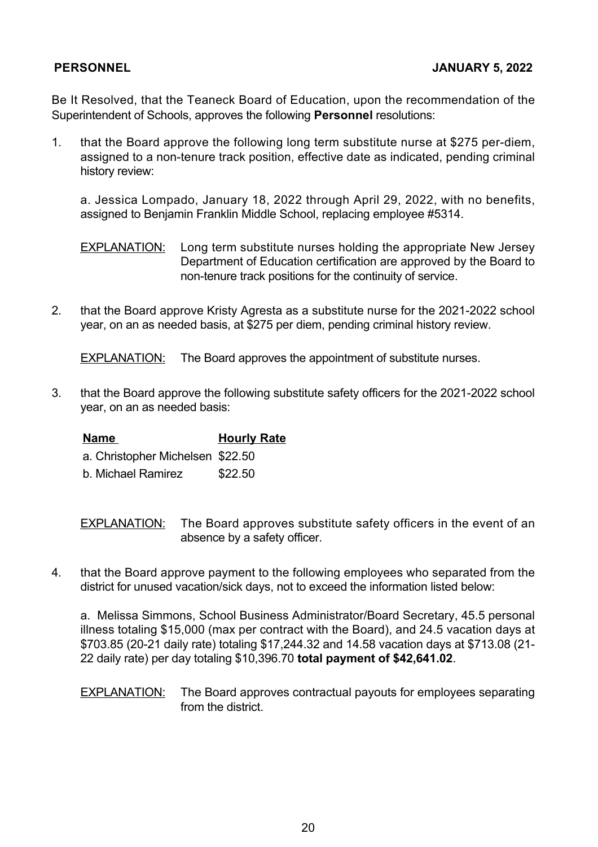Be It Resolved, that the Teaneck Board of Education, upon the recommendation of the Superintendent of Schools, approves the following **Personnel** resolutions:

1. that the Board approve the following long term substitute nurse at \$275 per-diem, assigned to a non-tenure track position, effective date as indicated, pending criminal history review:

a. Jessica Lompado, January 18, 2022 through April 29, 2022, with no benefits, assigned to Benjamin Franklin Middle School, replacing employee #5314.

**EXPLANATION:** Long term substitute nurses holding the appropriate New Jersey Department of Education certification are approved by the Board to non-tenure track positions for the continuity of service.

2. that the Board approve Kristy Agresta as a substitute nurse for the 2021-2022 school year, on an as needed basis, at \$275 per diem, pending criminal history review.

EXPLANATION: The Board approves the appointment of substitute nurses.

3. that the Board approve the following substitute safety officers for the 2021-2022 school year, on an as needed basis:

**Name Hourly Rate** a. Christopher Michelsen \$22.50 b. Michael Ramirez \$22.50

**EXPLANATION:** The Board approves substitute safety officers in the event of an absence by a safety officer.

4. that the Board approve payment to the following employees who separated from the district for unused vacation/sick days, not to exceed the information listed below:

a. Melissa Simmons, School Business Administrator/Board Secretary, 45.5 personal illness totaling \$15,000 (max per contract with the Board), and 24.5 vacation days at \$703.85 (20-21 daily rate) totaling \$17,244.32 and 14.58 vacation days at \$713.08 (21-22 daily rate) per day totaling \$10,396.70 **total payment of \$42,641.02**.

EXPLANATION: The Board approves contractual payouts for employees separating from the district.